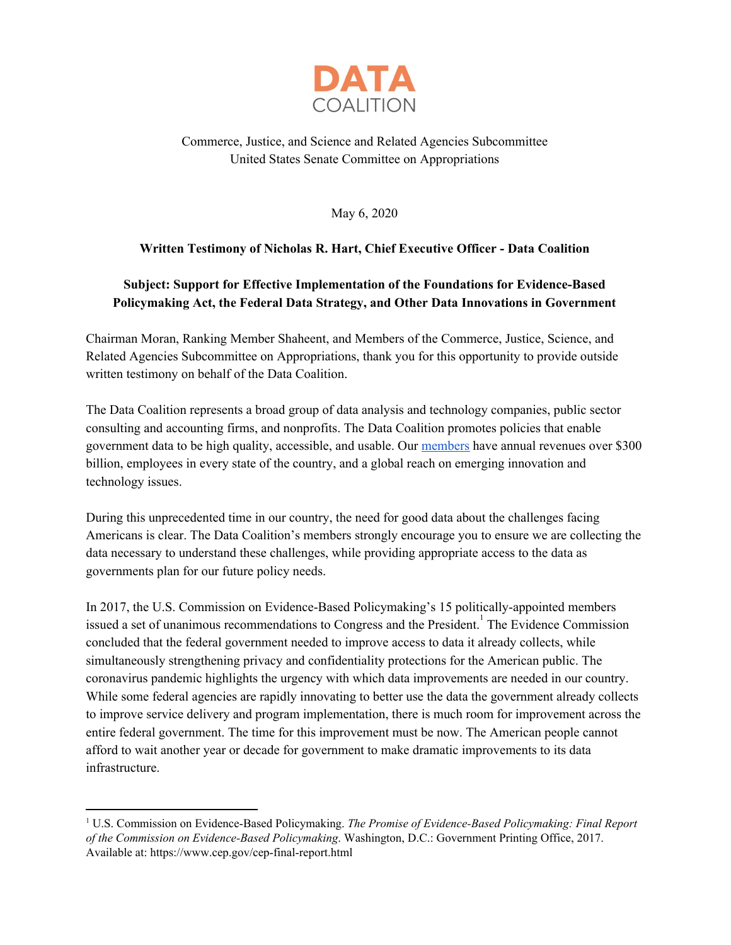

# Commerce, Justice, and Science and Related Agencies Subcommittee United States Senate Committee on Appropriations

May 6, 2020

## **Written Testimony of Nicholas R. Hart, Chief Executive Officer - Data Coalition**

# **Subject: Support for Effective Implementation of the Foundations for Evidence-Based Policymaking Act, the Federal Data Strategy, and Other Data Innovations in Government**

Chairman Moran, Ranking Member Shaheent, and Members of the Commerce, Justice, Science, and Related Agencies Subcommittee on Appropriations, thank you for this opportunity to provide outside written testimony on behalf of the Data Coalition.

The Data Coalition represents a broad group of data analysis and technology companies, public sector consulting and accounting firms, and nonprofits. The Data Coalition promotes policies that enable government data to be high quality, accessible, and usable. Our [members](https://www.datacoalition.org/members/) have annual revenues over \$300 billion, employees in every state of the country, and a global reach on emerging innovation and technology issues.

During this unprecedented time in our country, the need for good data about the challenges facing Americans is clear. The Data Coalition's members strongly encourage you to ensure we are collecting the data necessary to understand these challenges, while providing appropriate access to the data as governments plan for our future policy needs.

In 2017, the U.S. Commission on Evidence-Based Policymaking's 15 politically-appointed members issued a set of unanimous recommendations to Congress and the President.<sup>1</sup> The Evidence Commission concluded that the federal government needed to improve access to data it already collects, while simultaneously strengthening privacy and confidentiality protections for the American public. The coronavirus pandemic highlights the urgency with which data improvements are needed in our country. While some federal agencies are rapidly innovating to better use the data the government already collects to improve service delivery and program implementation, there is much room for improvement across the entire federal government. The time for this improvement must be now. The American people cannot afford to wait another year or decade for government to make dramatic improvements to its data infrastructure.

<sup>1</sup> U.S. Commission on Evidence-Based Policymaking. *The Promise of Evidence-Based Policymaking: Final Report of the Commission on Evidence-Based Policymaking*. Washington, D.C.: Government Printing Office, 2017. Available at: https://www.cep.gov/cep-final-report.html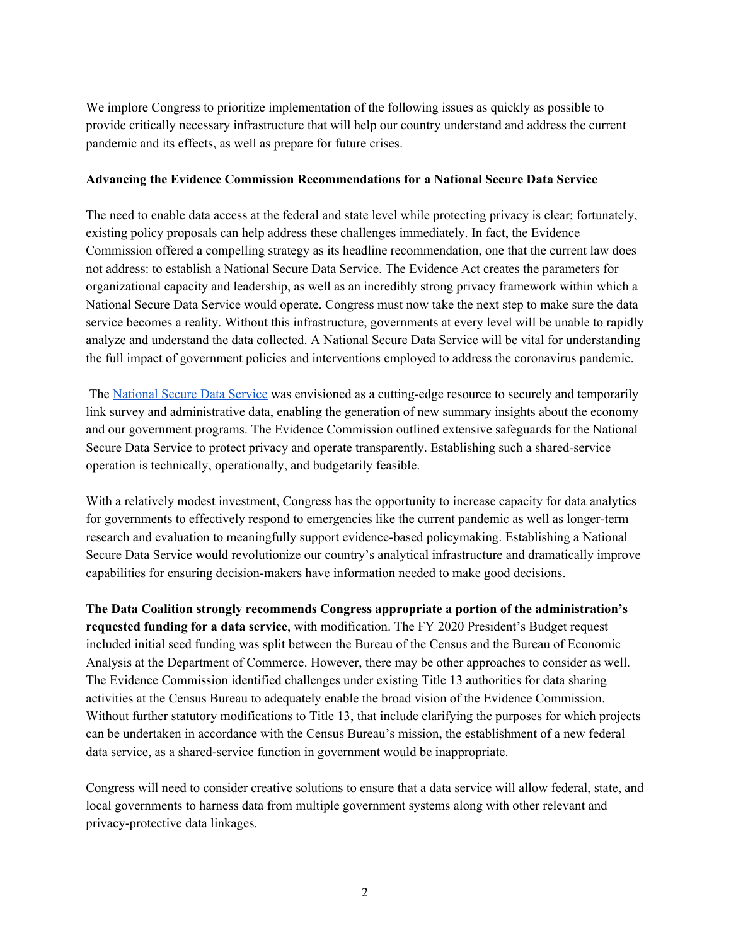We implore Congress to prioritize implementation of the following issues as quickly as possible to provide critically necessary infrastructure that will help our country understand and address the current pandemic and its effects, as well as prepare for future crises.

#### **Advancing the Evidence Commission Recommendations for a National Secure Data Service**

The need to enable data access at the federal and state level while protecting privacy is clear; fortunately, existing policy proposals can help address these challenges immediately. In fact, the Evidence Commission offered a compelling strategy as its headline recommendation, one that the current law does not address: to establish a National Secure Data Service. The Evidence Act creates the parameters for organizational capacity and leadership, as well as an incredibly strong privacy framework within which a National Secure Data Service would operate. Congress must now take the next step to make sure the data service becomes a reality. Without this infrastructure, governments at every level will be unable to rapidly analyze and understand the data collected. A National Secure Data Service will be vital for understanding the full impact of government policies and interventions employed to address the coronavirus pandemic.

The [National](https://www.datacoalition.org/two-years-of-progress-on-evidence-based-policymaking-in-the-united-states/) Secure Data Service was envisioned as a cutting-edge resource to securely and temporarily link survey and administrative data, enabling the generation of new summary insights about the economy and our government programs. The Evidence Commission outlined extensive safeguards for the National Secure Data Service to protect privacy and operate transparently. Establishing such a shared-service operation is technically, operationally, and budgetarily feasible.

With a relatively modest investment, Congress has the opportunity to increase capacity for data analytics for governments to effectively respond to emergencies like the current pandemic as well as longer-term research and evaluation to meaningfully support evidence-based policymaking. Establishing a National Secure Data Service would revolutionize our country's analytical infrastructure and dramatically improve capabilities for ensuring decision-makers have information needed to make good decisions.

**The Data Coalition strongly recommends Congress appropriate a portion of the administration's requested funding for a data service**, with modification. The FY 2020 President's Budget request included initial seed funding was split between the Bureau of the Census and the Bureau of Economic Analysis at the Department of Commerce. However, there may be other approaches to consider as well. The Evidence Commission identified challenges under existing Title 13 authorities for data sharing activities at the Census Bureau to adequately enable the broad vision of the Evidence Commission. Without further statutory modifications to Title 13, that include clarifying the purposes for which projects can be undertaken in accordance with the Census Bureau's mission, the establishment of a new federal data service, as a shared-service function in government would be inappropriate.

Congress will need to consider creative solutions to ensure that a data service will allow federal, state, and local governments to harness data from multiple government systems along with other relevant and privacy-protective data linkages.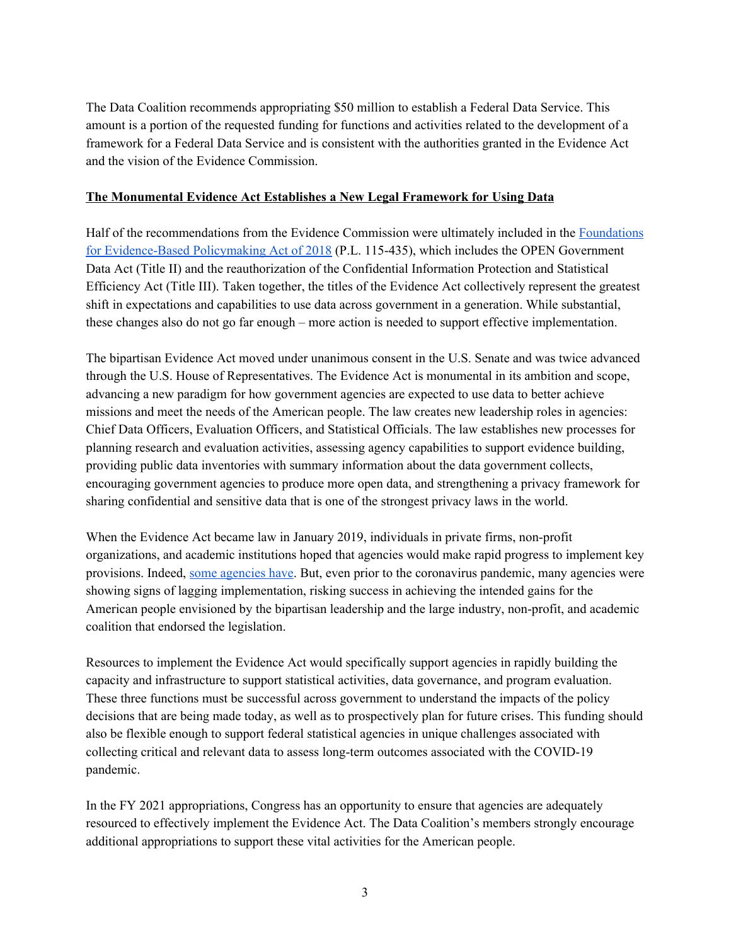The Data Coalition recommends appropriating \$50 million to establish a Federal Data Service. This amount is a portion of the requested funding for functions and activities related to the development of a framework for a Federal Data Service and is consistent with the authorities granted in the Evidence Act and the vision of the Evidence Commission.

### **The Monumental Evidence Act Establishes a New Legal Framework for Using Data**

Half of the recommendations from the Evidence Commission were ultimately included in the [Foundations](http://www.datacoalition.org/wp-content/uploads/2019/06/Evidence-Act-Web-version-2019.pdf) for [Evidence-Based](http://www.datacoalition.org/wp-content/uploads/2019/06/Evidence-Act-Web-version-2019.pdf) Policymaking Act of 2018 (P.L. 115-435), which includes the OPEN Government Data Act (Title II) and the reauthorization of the Confidential Information Protection and Statistical Efficiency Act (Title III). Taken together, the titles of the Evidence Act collectively represent the greatest shift in expectations and capabilities to use data across government in a generation. While substantial, these changes also do not go far enough – more action is needed to support effective implementation.

The bipartisan Evidence Act moved under unanimous consent in the U.S. Senate and was twice advanced through the U.S. House of Representatives. The Evidence Act is monumental in its ambition and scope, advancing a new paradigm for how government agencies are expected to use data to better achieve missions and meet the needs of the American people. The law creates new leadership roles in agencies: Chief Data Officers, Evaluation Officers, and Statistical Officials. The law establishes new processes for planning research and evaluation activities, assessing agency capabilities to support evidence building, providing public data inventories with summary information about the data government collects, encouraging government agencies to produce more open data, and strengthening a privacy framework for sharing confidential and sensitive data that is one of the strongest privacy laws in the world.

When the Evidence Act became law in January 2019, individuals in private firms, non-profit organizations, and academic institutions hoped that agencies would make rapid progress to implement key provisions. Indeed, some [agencies](https://www.datacoalition.org/the-evidence-act-at-one-tremendous-gains-for-research-community-are-coming-down-the-pike/) have. But, even prior to the coronavirus pandemic, many agencies were showing signs of lagging implementation, risking success in achieving the intended gains for the American people envisioned by the bipartisan leadership and the large industry, non-profit, and academic coalition that endorsed the legislation.

Resources to implement the Evidence Act would specifically support agencies in rapidly building the capacity and infrastructure to support statistical activities, data governance, and program evaluation. These three functions must be successful across government to understand the impacts of the policy decisions that are being made today, as well as to prospectively plan for future crises. This funding should also be flexible enough to support federal statistical agencies in unique challenges associated with collecting critical and relevant data to assess long-term outcomes associated with the COVID-19 pandemic.

In the FY 2021 appropriations, Congress has an opportunity to ensure that agencies are adequately resourced to effectively implement the Evidence Act. The Data Coalition's members strongly encourage additional appropriations to support these vital activities for the American people.